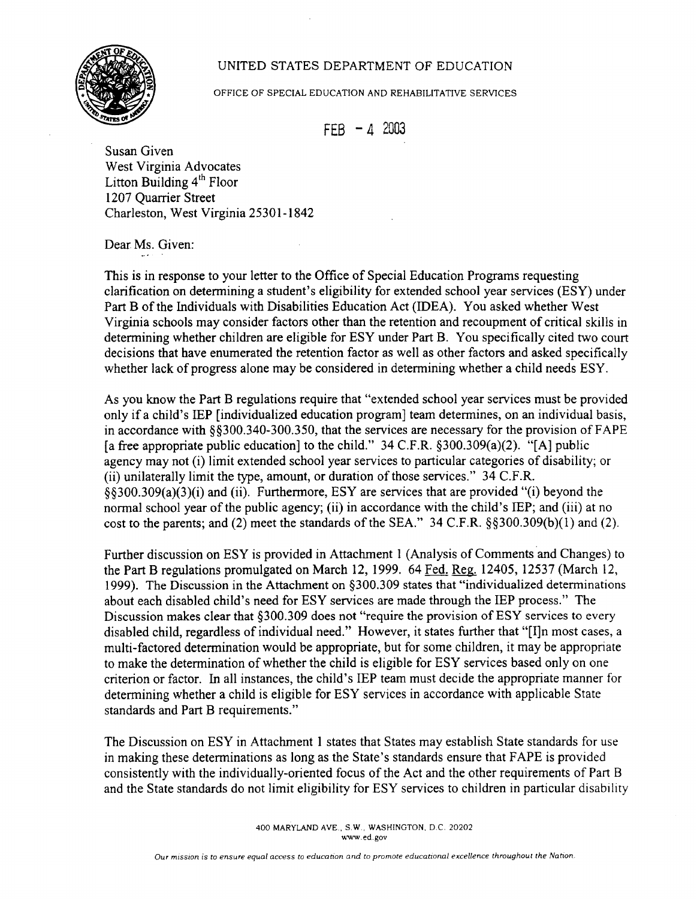## UNITED STATES DEPARTMENT OF EDUCATION



OFFICE OF SPECIAL EDUCATION AND REHABILITATIVE SERVICES

 $FEB - 4 2003$ 

Susan Given West Virginia Advocates Litton Building  $4<sup>th</sup>$  Floor 1207 Quarrier Street Charleston, West Virginia 25301-1842

Dear Ms. Given:

This is in response to your letter to the Office of Special Education Programs requesting clarification on determining a student's eligibility for extended school year services (ESY) under Part B of the Individuals with Disabilities Education Act (IDEA). You asked whether West Virginia schools may consider factors other than the retention and recoupment of critical skills in determining whether children are eligible for ESY under Part B. You specifically cited two court decisions that have enumerated the retention factor as well as other factors and asked specifically whether lack of progress alone may be considered in determining whether a child needs ESY.

As you know the Part B regulations require that "extended school year services must be provided only if a child's IEP [individualized education program] team determines, on an individual basis, in accordance with §§300.340-300.350, that the services are necessary for the provision of FAPE [a free appropriate public education] to the child."  $34$  C.F.R. §300.309(a)(2). "[A] public agency may not (i) limit extended school year services to particular categories of disability; or (ii) unilaterally limit the type, amount, or duration of those services." 34 C.F.R. §§300.309(a)(3)(i) and (ii). Furthermore, ESY are services that are provided "(i) beyond the normal school year of the public agency; (ii) in accordance with the child's IEP; and (iii) at no cost to the parents; and (2) meet the standards of the SEA." 34 C.F.R. §§300.309(b)(1) and (2).

Further discussion on ESY is provided in Attachment 1 (Analysis of Comments and Changes) to the Part B regulations promulgated on March 12, 1999. 64 Fed. Reg. 12405, 12537 (March 12, 1999). The Discussion in the Attachment on §300.309 states that "individualized determinations about each disabled child's need for ESY services are made through the IEP process." The Discussion makes clear that §300.309 does not "require the provision of ESY services to every disabled child, regardless of individual need." However, it states further that "[I]n most cases, a multi-factored determination would be appropriate, but for some children, it may be appropriate to make the determination of whether the child is eligible for ESY services based only on one criterion or factor. In all instances, the child's IEP team must decide the appropriate manner for determining whether a child is eligible for ESY services in accordance with applicable State standards and Part B requirements."

The Discussion on ESY in Attachment 1 states that States may establish State standards for use in making these determinations as long as the State's standards ensure that FAPE is provided consistently with the individually-oriented focus of the Act and the other requirements of Pan B and the State standards do not limit eligibility for ESY services to children in particular disability